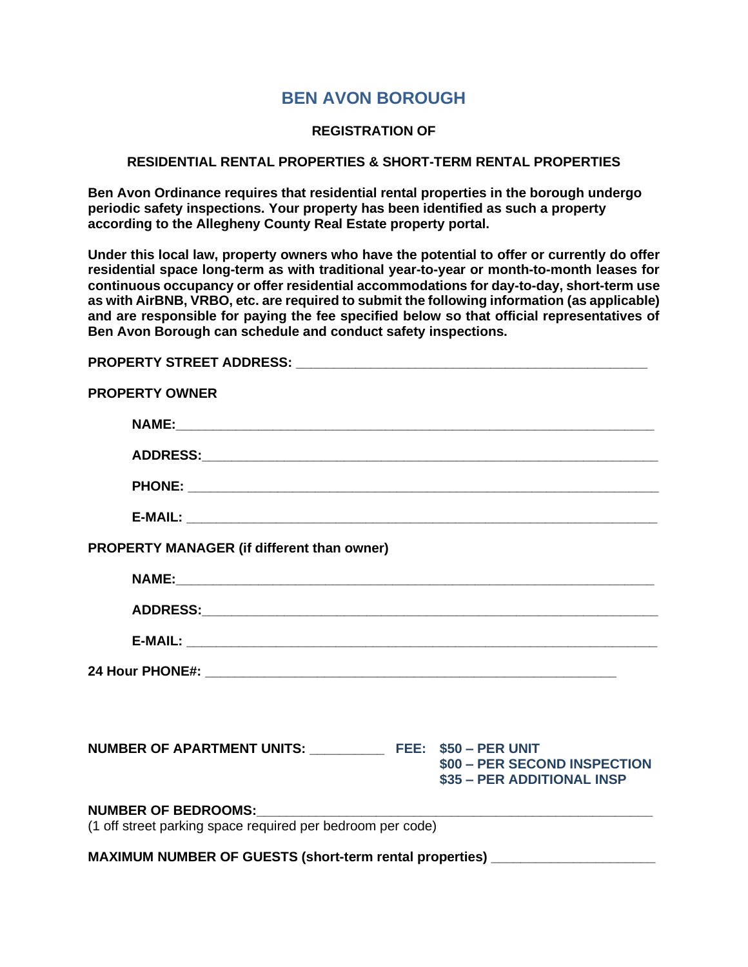## **BEN AVON BOROUGH**

## **REGISTRATION OF**

## **RESIDENTIAL RENTAL PROPERTIES & SHORT-TERM RENTAL PROPERTIES**

**Ben Avon Ordinance requires that residential rental properties in the borough undergo periodic safety inspections. Your property has been identified as such a property according to the Allegheny County Real Estate property portal.**

**Under this local law, property owners who have the potential to offer or currently do offer residential space long-term as with traditional year-to-year or month-to-month leases for continuous occupancy or offer residential accommodations for day-to-day, short-term use as with AirBNB, VRBO, etc. are required to submit the following information (as applicable) and are responsible for paying the fee specified below so that official representatives of Ben Avon Borough can schedule and conduct safety inspections.**

| <b>PROPERTY OWNER</b>                                                             |                                                            |
|-----------------------------------------------------------------------------------|------------------------------------------------------------|
|                                                                                   |                                                            |
|                                                                                   |                                                            |
|                                                                                   |                                                            |
|                                                                                   |                                                            |
| <b>PROPERTY MANAGER (if different than owner)</b>                                 |                                                            |
|                                                                                   |                                                            |
|                                                                                   |                                                            |
|                                                                                   |                                                            |
|                                                                                   |                                                            |
|                                                                                   |                                                            |
| NUMBER OF APARTMENT UNITS: ______________ FEE: \$50 - PER UNIT                    | \$00 - PER SECOND INSPECTION<br>\$35 - PER ADDITIONAL INSP |
| NUMBER OF BEDROOMS:<br>(1 off street parking space required per bedroom per code) |                                                            |
| MAXIMUM NUMBER OF GUESTS (short-term rental properties) ________________________  |                                                            |